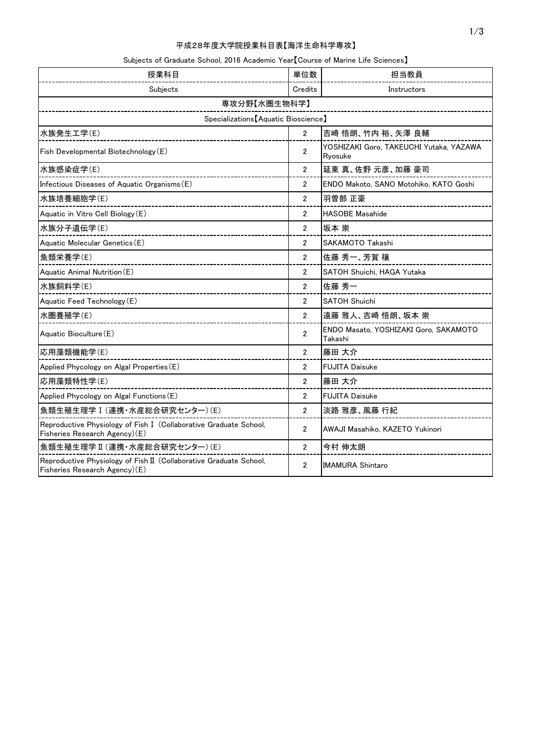# 平成28年度大学院授業科目表【海洋生命科学専攻】

## Subjects of Graduate School, 2016 Academic Year【Course of Marine Life Sciences】

| 授業科目                                                                                                | 単位数                   | 担当教員                                               |  |
|-----------------------------------------------------------------------------------------------------|-----------------------|----------------------------------------------------|--|
| Subjects                                                                                            | Credits               | Instructors                                        |  |
| 専攻分野【水圏生物科学】                                                                                        |                       |                                                    |  |
| Specializations [Aquatic Bioscience]                                                                |                       |                                                    |  |
| 水族発生工学(E)                                                                                           | $\overline{2}$        | 吉崎 悟朗、竹内 裕、矢澤 良輔                                   |  |
| Fish Developmental Biotechnology (E)                                                                | $\overline{2}$        | YOSHIZAKI Goro, TAKEUCHI Yutaka, YAZAWA<br>Ryosuke |  |
| 水族感染症学(E)                                                                                           | $\overline{2}$        | 延東 真、佐野 元彦、加藤 豪司                                   |  |
| Infectious Diseases of Aquatic Organisms (E)                                                        | $\overline{2}$        | ENDO Makoto, SANO Motohiko, KATO Goshi             |  |
| 水族培養細胞学(E)                                                                                          | $\overline{2}$        | 羽曽部 正豪                                             |  |
| Aquatic in Vitro Cell Biology (E)                                                                   | $\overline{2}$        | <b>HASOBE Masahide</b>                             |  |
| 水族分子遺伝学(E)                                                                                          | $\overline{2}$        | 坂本 崇                                               |  |
| Aquatic Molecular Genetics (E)                                                                      | $\overline{2}$        | SAKAMOTO Takashi                                   |  |
| 魚類栄養学(E)                                                                                            | $\overline{2}$        | 佐藤 秀一、芳賀 穣                                         |  |
| Aquatic Animal Nutrition (E)                                                                        | $\overline{2}$        | SATOH Shuichi, HAGA Yutaka                         |  |
| 水族飼料学(E)                                                                                            | $\overline{2}$        | 佐藤 秀一                                              |  |
| Aquatic Feed Technology (E)                                                                         | $\overline{c}$        | <b>SATOH Shuichi</b>                               |  |
| 水圏養殖学(E)                                                                                            | $\overline{2}$        | 遠藤 雅人、吉崎 悟朗、坂本 崇                                   |  |
| Aquatic Bioculture (E)                                                                              | $\overline{2}$        | ENDO Masato, YOSHIZAKI Goro, SAKAMOTO<br>Takashi   |  |
| 応用藻類機能学(E)                                                                                          | $\overline{2}$        | 藤田 大介                                              |  |
| Applied Phycology on Algal Properties (E)                                                           | $\mathbf{2}^{\prime}$ | <b>FUJITA Daisuke</b>                              |  |
| 応用藻類特性学(E)                                                                                          | $\overline{2}$        | 藤田 大介                                              |  |
| Applied Phycology on Algal Functions (E)                                                            | $\overline{2}$        | <b>FUJITA Daisuke</b>                              |  |
| 魚類生殖生理学 I (連携・水産総合研究センター)(E)                                                                        | $\overline{2}$        | 淡路 雅彦、風藤 行紀                                        |  |
| Reproductive Physiology of Fish I (Collaborative Graduate School,<br>Fisheries Research Agency)(E)  | $\overline{2}$        | AWAJI Masahiko, KAZETO Yukinori                    |  |
| 魚類生殖生理学 II (連携・水産総合研究センター) (E)                                                                      | $\overline{2}$        | 今村 伸太朗                                             |  |
| Reproductive Physiology of Fish II (Collaborative Graduate School,<br>Fisheries Research Agency)(E) | $\overline{2}$        | <b>IMAMURA Shintaro</b>                            |  |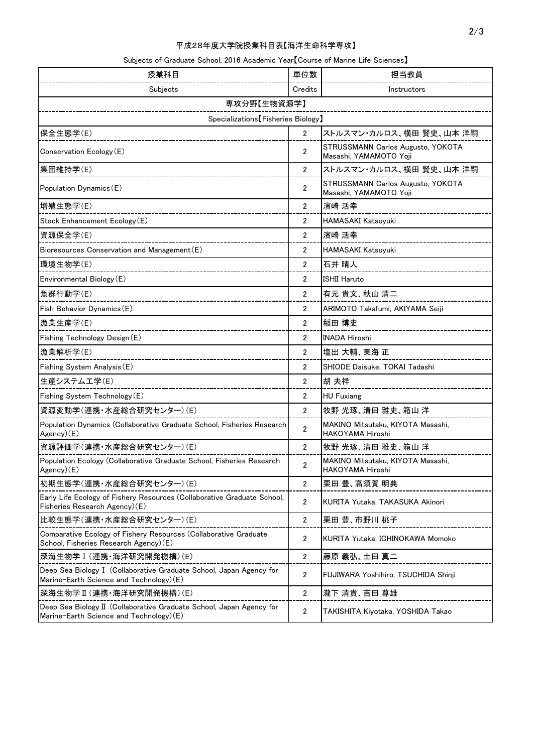# 平成28年度大学院授業科目表【海洋生命科学専攻】

## Subjects of Graduate School, 2016 Academic Year【Course of Marine Life Sciences】

| 授業科目                                                                                                            | 単位数            | 担当教員                                                        |  |  |
|-----------------------------------------------------------------------------------------------------------------|----------------|-------------------------------------------------------------|--|--|
| Subjects                                                                                                        | Credits        | Instructors                                                 |  |  |
| 専攻分野【生物資源学】                                                                                                     |                |                                                             |  |  |
| Specializations [Fisheries Biology]                                                                             |                |                                                             |  |  |
| 保全生態学(E)                                                                                                        | $\overline{2}$ | ストルスマン・カルロス、横田 賢史、山本 洋嗣                                     |  |  |
| Conservation Ecology (E)                                                                                        | $\overline{2}$ | STRUSSMANN Carlos Augusto, YOKOTA<br>Masashi, YAMAMOTO Yoji |  |  |
| 集団維持学(E)                                                                                                        | $\overline{2}$ | ストルスマン・カルロス、横田 賢史、山本 洋嗣                                     |  |  |
| Population Dynamics (E)                                                                                         | $\overline{2}$ | STRUSSMANN Carlos Augusto, YOKOTA<br>Masashi, YAMAMOTO Yoji |  |  |
| 増殖生態学(E)                                                                                                        | $\overline{2}$ | 濱崎 活幸                                                       |  |  |
| Stock Enhancement Ecology (E)                                                                                   | 2              | HAMASAKI Katsuyuki                                          |  |  |
| 資源保全学(E)                                                                                                        | $\overline{2}$ | 濱崎 活幸                                                       |  |  |
| Bioresources Conservation and Management (E)                                                                    | $\overline{c}$ | HAMASAKI Katsuyuki                                          |  |  |
| 環境生物学(E)                                                                                                        | $\overline{2}$ | 石井 晴人                                                       |  |  |
| Environmental Biology (E)                                                                                       | 2              | <b>ISHII Haruto</b>                                         |  |  |
| 魚群行動学(E)                                                                                                        | $\overline{2}$ | 有元 貴文、秋山 清二                                                 |  |  |
| Fish Behavior Dynamics (E)                                                                                      | $\overline{c}$ | ARIMOTO Takafumi, AKIYAMA Seiji                             |  |  |
| 漁業生産学(E)                                                                                                        | $\overline{2}$ | 稲田 博史                                                       |  |  |
| Fishing Technology Design (E)                                                                                   | 2              | <b>INADA Hiroshi</b>                                        |  |  |
| 漁業解析学(E)                                                                                                        | $\overline{c}$ | 塩出 大輔、東海 正                                                  |  |  |
| Fishing System Analysis (E)                                                                                     | $\overline{2}$ | SHIODE Daisuke, TOKAI Tadashi                               |  |  |
| 生産システム工学(E)                                                                                                     | $\overline{2}$ | 胡 夫祥                                                        |  |  |
| Fishing System Technology (E)                                                                                   | $\overline{2}$ | <b>HU Fuxiang</b>                                           |  |  |
| 資源変動学(連携·水産総合研究センター)(E)                                                                                         | $\overline{2}$ | 牧野 光琢、清田 雅史、箱山 洋                                            |  |  |
| Population Dynamics (Collaborative Graduate School, Fisheries Research<br>$Agency)$ (E)                         | $\overline{2}$ | MAKINO Mitsutaku, KIYOTA Masashi,<br>HAKOYAMA Hiroshi       |  |  |
| 資源評価学(連携・水産総合研究センター)(E)                                                                                         | $\overline{2}$ | 牧野 光琢、清田 雅史、箱山 洋                                            |  |  |
| Population Ecology (Collaborative Graduate School, Fisheries Research<br>Agency)(E)                             | $\overline{2}$ | MAKINO Mitsutaku, KIYOTA Masashi,<br>HAKOYAMA Hiroshi       |  |  |
| 初期生態学(連携·水産総合研究センター)(E)                                                                                         | $\overline{2}$ | 栗田 豊、高須賀 明典                                                 |  |  |
| Early Life Ecology of Fishery Resources (Collaborative Graduate School,<br>Fisheries Research Agency)(E)        | $\overline{2}$ | KURITA Yutaka, TAKASUKA Akinori                             |  |  |
| 比較生態学(連携・水産総合研究センター) (E)                                                                                        | 2              | 栗田 豊、市野川 桃子                                                 |  |  |
| Comparative Ecology of Fishery Resources (Collaborative Graduate<br>School, Fisheries Research Agency)(E)       | 2              | KURITA Yutaka, ICHINOKAWA Momoko                            |  |  |
| 深海生物学 I (連携·海洋研究開発機構)(E)                                                                                        | 2              | 藤原 義弘、土田 真二                                                 |  |  |
| Deep Sea Biology I (Collaborative Graduate School, Japan Agency for<br>Marine-Earth Science and Technology)(E)  | 2              | FUJIWARA Yoshihiro, TSUCHIDA Shinji                         |  |  |
| 深海生物学 II (連携·海洋研究開発機構)(E)                                                                                       | 2              | 瀧下 清貴、吉田 尊雄                                                 |  |  |
| Deep Sea Biology II (Collaborative Graduate School, Japan Agency for<br>Marine-Earth Science and Technology)(E) | 2              | TAKISHITA Kiyotaka, YOSHIDA Takao                           |  |  |